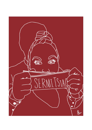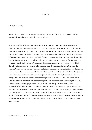## Imagine

Lili Frederiksen Chemnitz<sup>1</sup>

Imagine living in a world where you and your people were supposed to be free on your own land. But something is off and you can't quite figure out what it is.

Several of your friends have committed suicide. You have been sexually molested and abused since childhood throughout your teenage years. You know there's a bigger connection to the history but you don't know how or why. When you went to school, you visited most of your classmates. A new child got into your class. A child from across the sea. You got curious and went to visit their home too. You could immediately tell that their home was bigger than yours. Their furniture was newer and shinier and even though you didn't know anything about design, you could still tell that this furniture was more expensive than the furniture in your own home. Even if you couldn't see that the furniture was expensive with your eyes you could still figure it out because you were not allowed to touch anything. Especially not that lamp. You got to the classmate's room and they had more toys than you had ever seen before in your entire life in one single room. Toys that you didn't even know existed. More toys than one child possibly could use. But even though there were a lot of toys the room was still very well organized and clean. It was a day to remember, when your family got the first computer at home, a computer for your family to share. But this child had their own computer in their own bedroom, a television and a phone. Like a small apartment even though it was just a children's room. Even though you wanted to, you couldn't hide that you were extremely amazed and impressed. Which left your classmate to give you some of the stuff they never used anyway, because they just bought it on some market in a country you never even heard of. Your classmate gave you some stuff that you knew, you normally never would have gotten any other places you knew. Now this didn't happen once or twice during your childhood. This happened again and again. Because these kind and sympathetic children didn't stay in your country. These children left after a few years to be replaced by new children who came from overseas.

**.** 

<sup>1</sup> Lili Frederiksen Chemnitz is an artist and activist.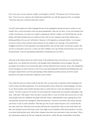Now every time you saw someone wealthy, you thought to yourself: "That person can't be from around here." Even if you saw someone who looked and sounded like you with this glamorous life, you thought: "Then they must have a dad from that other country."

You still cannot speak your native language because of the segregation during your time in school, so you couldn't have a real conversation with your great grandmother, when she was alive. It was your burning wish to talk to her because even when you couldn't communicate with her verbally, you still felt that she was the kindest old family member that you would ever meet. One of your caregivers and closest relatives has a drinking problem, but you can't talk about it, because it will stigmatize your people further. As a teenager you have to move to that overseas country because of your mother's new marriage. You yourself have struggled yourself out of the drug abuse and eating disorders, that you had, before you became a parent. But you have to keep that a secret too, so that your native children won't get forcibly removed from your care by the government. And you keep getting called pretty considering your race that is.

And most of the subjects above are used by many of the politicians from across the sea, as a proof that your people never, ever should fool yourselves with thoughts about independence and sovereignty. But your newspaper never points it out, because they agree with the politicians from overseas. In fact, the management for the newspaper are from overseas as well. If you start questioning their statements and debating them, the newspaper simply blocks you from participating on their platforms anymore and you are left to sound paranoid if you speak out about the conditions in your country.

Your whole life and your whole world are like this. Now you must take an education while navigating your world of chaos and silent suppression. You are being asked to learn a third and a fourth language. You have to care about numbers and scientific literature about a country that isn't yours but nothing about your own country. You have to get up. Get on time. Do your homework. Forget about your traumatic upbringing. Talk more. Talk faster. Talk louder! And if you don't succeed, then it's your own fault, that you now have to look at the people from your childhood, the people from the country 3,000 kilometers away, getting most of the well-paid jobs, because they managed to finish that education. You have to see them come and go, because your home is such an exotic adventure. Then they get sick of your country because it isn't exactly like the one, they come from. Then they leave but they still keep that well paid job. They can just work online and take a few business travels from time to time. You might even be homeless while observing them. You have to see them build up their work, which often collapses when they leave and return to their own home. Then a new adventurous replaces the last one, doing the same job for a while. Because sustainability in the labor